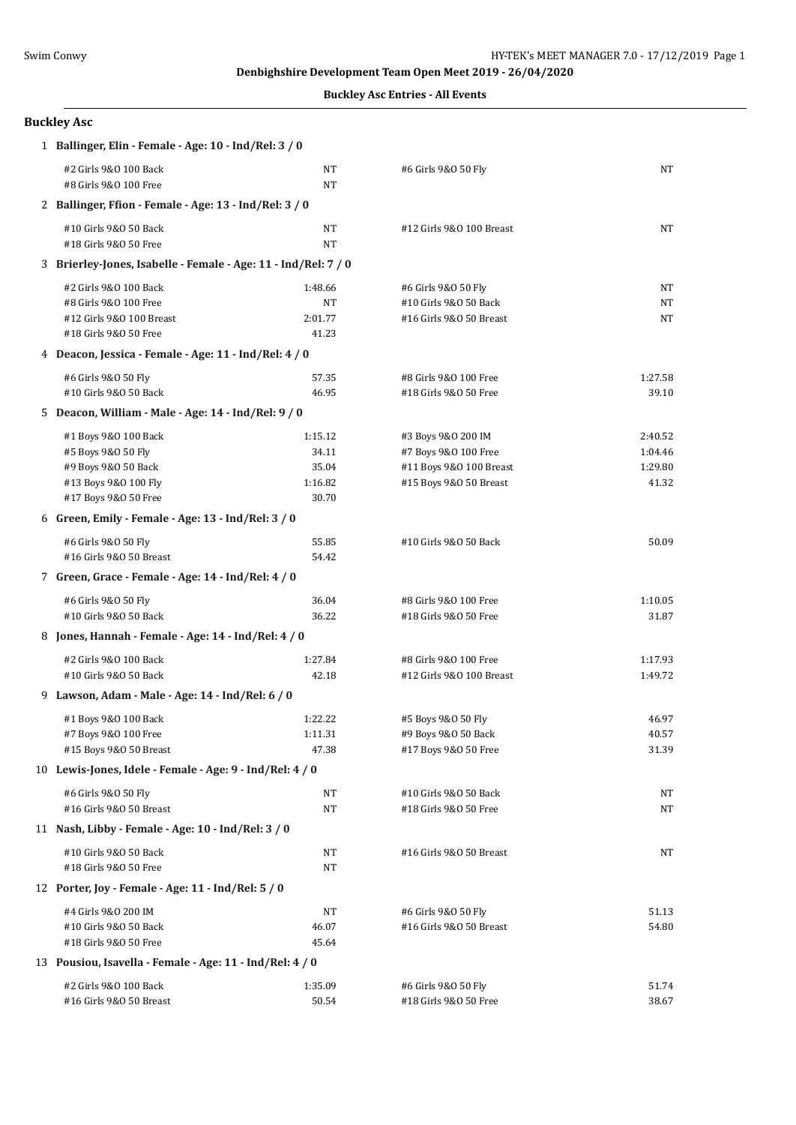**Denbighshire Development Team Open Meet 2019 - 26/04/2020**

**Buckley Asc Entries - All Events**

## **Buckley Asc**

|  | 1 Ballinger, Elin - Female - Age: 10 - Ind/Rel: 3 / 0                                                             |                                               |                                                                                                 |                                        |  |  |
|--|-------------------------------------------------------------------------------------------------------------------|-----------------------------------------------|-------------------------------------------------------------------------------------------------|----------------------------------------|--|--|
|  | #2 Girls 9&0 100 Back<br>#8 Girls 9&0 100 Free                                                                    | NT<br>NT                                      | #6 Girls 9&0 50 Fly                                                                             | NT                                     |  |  |
|  | 2 Ballinger, Ffion - Female - Age: 13 - Ind/Rel: 3 / 0                                                            |                                               |                                                                                                 |                                        |  |  |
|  | #10 Girls 9&0 50 Back<br>#18 Girls 9&0 50 Free                                                                    | NT<br><b>NT</b>                               | #12 Girls 9&0 100 Breast                                                                        | NT                                     |  |  |
|  | 3 Brierley-Jones, Isabelle - Female - Age: 11 - Ind/Rel: 7 / 0                                                    |                                               |                                                                                                 |                                        |  |  |
|  | #2 Girls 9&0 100 Back<br>#8 Girls 9&0 100 Free<br>#12 Girls 9&0 100 Breast<br>#18 Girls 9&0 50 Free               | 1:48.66<br>NT<br>2:01.77<br>41.23             | #6 Girls 9&0 50 Fly<br>#10 Girls 9&0 50 Back<br>#16 Girls 9&0 50 Breast                         | NT<br>NT<br>NT                         |  |  |
|  | 4 Deacon, Jessica - Female - Age: 11 - Ind/Rel: 4 / 0                                                             |                                               |                                                                                                 |                                        |  |  |
|  | #6 Girls 9&0 50 Fly<br>#10 Girls 9&0 50 Back                                                                      | 57.35<br>46.95                                | #8 Girls 9&0 100 Free<br>#18 Girls 9&0 50 Free                                                  | 1:27.58<br>39.10                       |  |  |
|  | 5 Deacon, William - Male - Age: 14 - Ind/Rel: 9 / 0                                                               |                                               |                                                                                                 |                                        |  |  |
|  | #1 Boys 9&0 100 Back<br>#5 Boys 9&0 50 Fly<br>#9 Boys 9&0 50 Back<br>#13 Boys 9&0 100 Fly<br>#17 Boys 9&0 50 Free | 1:15.12<br>34.11<br>35.04<br>1:16.82<br>30.70 | #3 Boys 9&0 200 IM<br>#7 Boys 9&0 100 Free<br>#11 Boys 9&0 100 Breast<br>#15 Boys 9&0 50 Breast | 2:40.52<br>1:04.46<br>1:29.80<br>41.32 |  |  |
|  | 6 Green, Emily - Female - Age: 13 - Ind/Rel: 3 / 0                                                                |                                               |                                                                                                 |                                        |  |  |
|  | #6 Girls 9&0 50 Fly<br>#16 Girls 9&0 50 Breast                                                                    | 55.85<br>54.42                                | #10 Girls 9&0 50 Back                                                                           | 50.09                                  |  |  |
|  | 7 Green, Grace - Female - Age: 14 - Ind/Rel: 4 / 0                                                                |                                               |                                                                                                 |                                        |  |  |
|  | #6 Girls 9&0 50 Fly<br>#10 Girls 9&0 50 Back                                                                      | 36.04<br>36.22                                | #8 Girls 9&0 100 Free<br>#18 Girls 9&0 50 Free                                                  | 1:10.05<br>31.87                       |  |  |
|  | 8 Jones, Hannah - Female - Age: 14 - Ind/Rel: 4 / 0                                                               |                                               |                                                                                                 |                                        |  |  |
|  | #2 Girls 9&0 100 Back<br>#10 Girls 9&0 50 Back                                                                    | 1:27.84<br>42.18                              | #8 Girls 9&0 100 Free<br>#12 Girls 9&0 100 Breast                                               | 1:17.93<br>1:49.72                     |  |  |
|  | 9 Lawson, Adam - Male - Age: 14 - Ind/Rel: 6 / 0                                                                  |                                               |                                                                                                 |                                        |  |  |
|  | #1 Boys 9&0 100 Back<br>#7 Boys 9&0 100 Free<br>#15 Boys 9&0 50 Breast                                            | 1:22.22<br>1:11.31<br>47.38                   | #5 Boys 9&0 50 Fly<br>#9 Boys 9&0 50 Back<br>#17 Boys 9&0 50 Free                               | 46.97<br>40.57<br>31.39                |  |  |
|  | 10 Lewis-Jones, Idele - Female - Age: 9 - Ind/Rel: 4 / 0                                                          |                                               |                                                                                                 |                                        |  |  |
|  | #6 Girls 9&0 50 Fly<br>#16 Girls 9&0 50 Breast                                                                    | NT<br>NT                                      | #10 Girls 9&0 50 Back<br>#18 Girls 9&0 50 Free                                                  | NT<br>NT                               |  |  |
|  | 11 Nash, Libby - Female - Age: 10 - Ind/Rel: 3 / 0                                                                |                                               |                                                                                                 |                                        |  |  |
|  | #10 Girls 9&0 50 Back<br>#18 Girls 9&0 50 Free                                                                    | NT<br>NT                                      | #16 Girls 9&0 50 Breast                                                                         | NT                                     |  |  |
|  | 12 Porter, Joy - Female - Age: 11 - Ind/Rel: 5 / 0                                                                |                                               |                                                                                                 |                                        |  |  |
|  | #4 Girls 9&0 200 IM<br>#10 Girls 9&0 50 Back<br>#18 Girls 9&0 50 Free                                             | NT<br>46.07<br>45.64                          | #6 Girls 9&0 50 Fly<br>#16 Girls 9&0 50 Breast                                                  | 51.13<br>54.80                         |  |  |
|  | 13 Pousiou, Isavella - Female - Age: 11 - Ind/Rel: 4 / 0                                                          |                                               |                                                                                                 |                                        |  |  |
|  | #2 Girls 9&0 100 Back<br>#16 Girls 9&0 50 Breast                                                                  | 1:35.09<br>50.54                              | #6 Girls 9&0 50 Fly<br>#18 Girls 9&0 50 Free                                                    | 51.74<br>38.67                         |  |  |